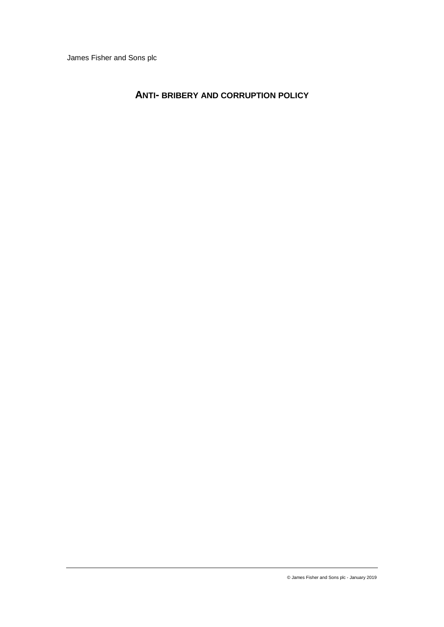James Fisher and Sons plc

# **ANTI- BRIBERY AND CORRUPTION POLICY**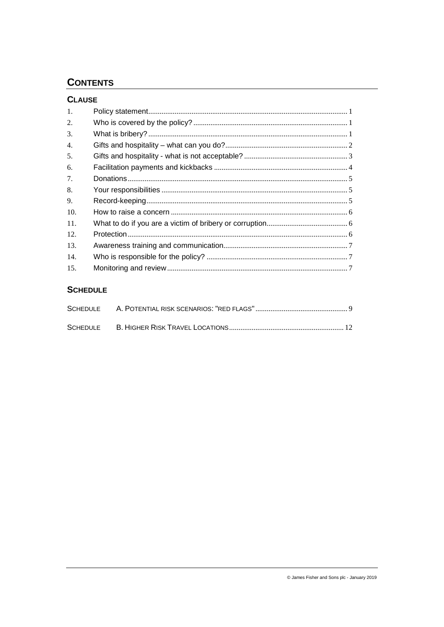# **CONTENTS**

| <b>CLAUSE</b>  |  |
|----------------|--|
| $\mathbf{1}$ . |  |
| 2.             |  |
| 3.             |  |
| 4.             |  |
| 5.             |  |
| 6.             |  |
| 7.             |  |
| 8.             |  |
| 9.             |  |
| 10.            |  |
| 11.            |  |
| 12.            |  |
| 13.            |  |
| 14.            |  |
| 15.            |  |

# **SCHEDULE**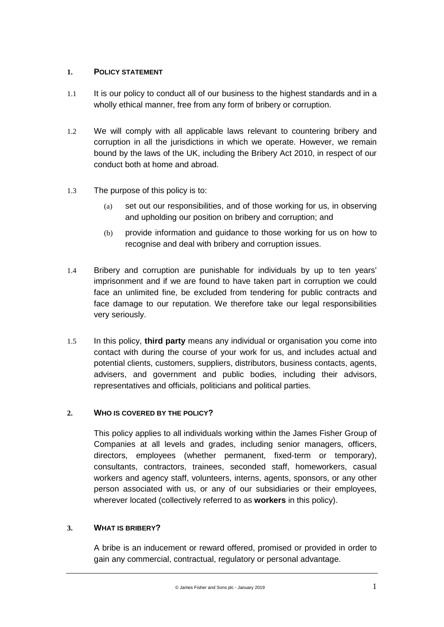# **1. POLICY STATEMENT**

- 1.1 It is our policy to conduct all of our business to the highest standards and in a wholly ethical manner, free from any form of bribery or corruption.
- 1.2 We will comply with all applicable laws relevant to countering bribery and corruption in all the jurisdictions in which we operate. However, we remain bound by the laws of the UK, including the Bribery Act 2010, in respect of our conduct both at home and abroad.
- 1.3 The purpose of this policy is to:
	- (a) set out our responsibilities, and of those working for us, in observing and upholding our position on bribery and corruption; and
	- (b) provide information and guidance to those working for us on how to recognise and deal with bribery and corruption issues.
- 1.4 Bribery and corruption are punishable for individuals by up to ten years' imprisonment and if we are found to have taken part in corruption we could face an unlimited fine, be excluded from tendering for public contracts and face damage to our reputation. We therefore take our legal responsibilities very seriously.
- 1.5 In this policy, **third party** means any individual or organisation you come into contact with during the course of your work for us, and includes actual and potential clients, customers, suppliers, distributors, business contacts, agents, advisers, and government and public bodies, including their advisors, representatives and officials, politicians and political parties.

# **2. WHO IS COVERED BY THE POLICY?**

This policy applies to all individuals working within the James Fisher Group of Companies at all levels and grades, including senior managers, officers, directors, employees (whether permanent, fixed-term or temporary), consultants, contractors, trainees, seconded staff, homeworkers, casual workers and agency staff, volunteers, interns, agents, sponsors, or any other person associated with us, or any of our subsidiaries or their employees, wherever located (collectively referred to as **workers** in this policy).

# **3. WHAT IS BRIBERY?**

A bribe is an inducement or reward offered, promised or provided in order to gain any commercial, contractual, regulatory or personal advantage.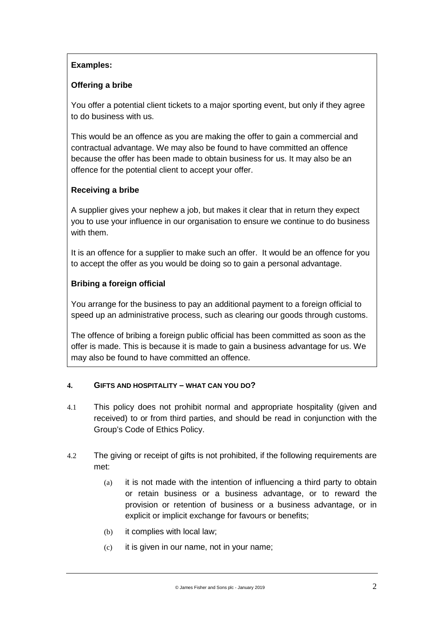# **Examples:**

## **Offering a bribe**

You offer a potential client tickets to a major sporting event, but only if they agree to do business with us.

This would be an offence as you are making the offer to gain a commercial and contractual advantage. We may also be found to have committed an offence because the offer has been made to obtain business for us. It may also be an offence for the potential client to accept your offer.

# **Receiving a bribe**

A supplier gives your nephew a job, but makes it clear that in return they expect you to use your influence in our organisation to ensure we continue to do business with them.

It is an offence for a supplier to make such an offer. It would be an offence for you to accept the offer as you would be doing so to gain a personal advantage.

# **Bribing a foreign official**

You arrange for the business to pay an additional payment to a foreign official to speed up an administrative process, such as clearing our goods through customs.

The offence of bribing a foreign public official has been committed as soon as the offer is made. This is because it is made to gain a business advantage for us. We may also be found to have committed an offence.

## **4. GIFTS AND HOSPITALITY – WHAT CAN YOU DO?**

- 4.1 This policy does not prohibit normal and appropriate hospitality (given and received) to or from third parties, and should be read in conjunction with the Group's Code of Ethics Policy.
- 4.2 The giving or receipt of gifts is not prohibited, if the following requirements are met:
	- (a) it is not made with the intention of influencing a third party to obtain or retain business or a business advantage, or to reward the provision or retention of business or a business advantage, or in explicit or implicit exchange for favours or benefits;
	- (b) it complies with local law;
	- (c) it is given in our name, not in your name;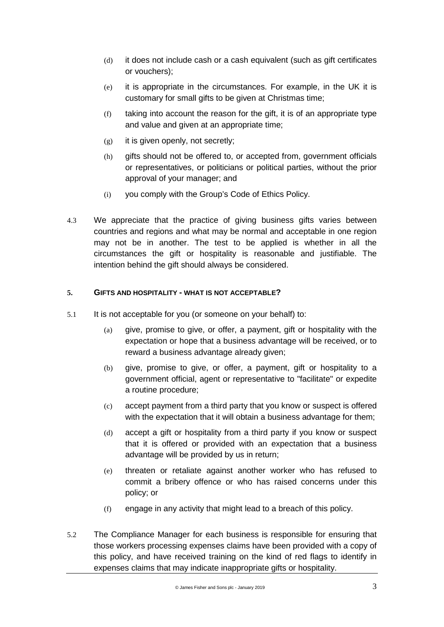- (d) it does not include cash or a cash equivalent (such as gift certificates or vouchers);
- (e) it is appropriate in the circumstances. For example, in the UK it is customary for small gifts to be given at Christmas time;
- (f) taking into account the reason for the gift, it is of an appropriate type and value and given at an appropriate time;
- (g) it is given openly, not secretly;
- (h) gifts should not be offered to, or accepted from, government officials or representatives, or politicians or political parties, without the prior approval of your manager; and
- (i) you comply with the Group's Code of Ethics Policy.
- 4.3 We appreciate that the practice of giving business gifts varies between countries and regions and what may be normal and acceptable in one region may not be in another. The test to be applied is whether in all the circumstances the gift or hospitality is reasonable and justifiable. The intention behind the gift should always be considered.

#### **5. GIFTS AND HOSPITALITY - WHAT IS NOT ACCEPTABLE?**

- 5.1 It is not acceptable for you (or someone on your behalf) to:
	- (a) give, promise to give, or offer, a payment, gift or hospitality with the expectation or hope that a business advantage will be received, or to reward a business advantage already given;
	- (b) give, promise to give, or offer, a payment, gift or hospitality to a government official, agent or representative to "facilitate" or expedite a routine procedure;
	- (c) accept payment from a third party that you know or suspect is offered with the expectation that it will obtain a business advantage for them;
	- (d) accept a gift or hospitality from a third party if you know or suspect that it is offered or provided with an expectation that a business advantage will be provided by us in return;
	- (e) threaten or retaliate against another worker who has refused to commit a bribery offence or who has raised concerns under this policy; or
	- (f) engage in any activity that might lead to a breach of this policy.
- 5.2 The Compliance Manager for each business is responsible for ensuring that those workers processing expenses claims have been provided with a copy of this policy, and have received training on the kind of red flags to identify in expenses claims that may indicate inappropriate gifts or hospitality.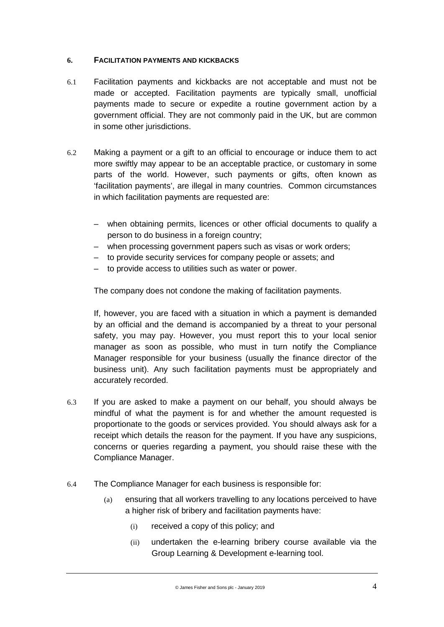## **6. FACILITATION PAYMENTS AND KICKBACKS**

- 6.1 Facilitation payments and kickbacks are not acceptable and must not be made or accepted. Facilitation payments are typically small, unofficial payments made to secure or expedite a routine government action by a government official. They are not commonly paid in the UK, but are common in some other jurisdictions.
- 6.2 Making a payment or a gift to an official to encourage or induce them to act more swiftly may appear to be an acceptable practice, or customary in some parts of the world. However, such payments or gifts, often known as 'facilitation payments', are illegal in many countries. Common circumstances in which facilitation payments are requested are:
	- when obtaining permits, licences or other official documents to qualify a person to do business in a foreign country;
	- when processing government papers such as visas or work orders;
	- to provide security services for company people or assets; and
	- to provide access to utilities such as water or power.

The company does not condone the making of facilitation payments.

If, however, you are faced with a situation in which a payment is demanded by an official and the demand is accompanied by a threat to your personal safety, you may pay. However, you must report this to your local senior manager as soon as possible, who must in turn notify the Compliance Manager responsible for your business (usually the finance director of the business unit). Any such facilitation payments must be appropriately and accurately recorded.

- 6.3 If you are asked to make a payment on our behalf, you should always be mindful of what the payment is for and whether the amount requested is proportionate to the goods or services provided. You should always ask for a receipt which details the reason for the payment. If you have any suspicions, concerns or queries regarding a payment, you should raise these with the Compliance Manager.
- 6.4 The Compliance Manager for each business is responsible for:
	- (a) ensuring that all workers travelling to any locations perceived to have a higher risk of bribery and facilitation payments have:
		- (i) received a copy of this policy; and
		- (ii) undertaken the e-learning bribery course available via the Group Learning & Development e-learning tool.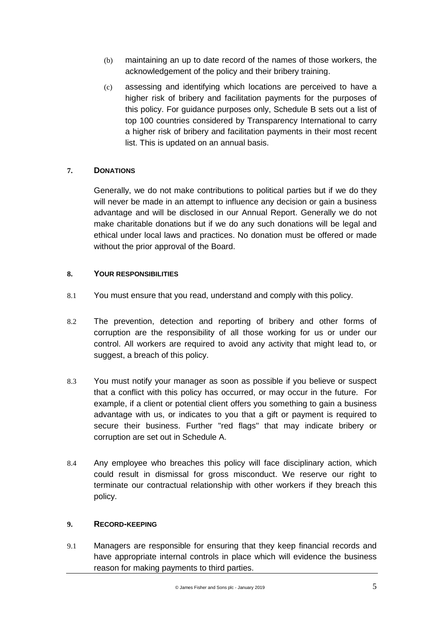- (b) maintaining an up to date record of the names of those workers, the acknowledgement of the policy and their bribery training.
- (c) assessing and identifying which locations are perceived to have a higher risk of bribery and facilitation payments for the purposes of this policy. For guidance purposes only, Schedule B sets out a list of top 100 countries considered by Transparency International to carry a higher risk of bribery and facilitation payments in their most recent list. This is updated on an annual basis.

## **7. DONATIONS**

Generally, we do not make contributions to political parties but if we do they will never be made in an attempt to influence any decision or gain a business advantage and will be disclosed in our Annual Report. Generally we do not make charitable donations but if we do any such donations will be legal and ethical under local laws and practices. No donation must be offered or made without the prior approval of the Board.

## **8. YOUR RESPONSIBILITIES**

- 8.1 You must ensure that you read, understand and comply with this policy.
- 8.2 The prevention, detection and reporting of bribery and other forms of corruption are the responsibility of all those working for us or under our control. All workers are required to avoid any activity that might lead to, or suggest, a breach of this policy.
- 8.3 You must notify your manager as soon as possible if you believe or suspect that a conflict with this policy has occurred, or may occur in the future. For example, if a client or potential client offers you something to gain a business advantage with us, or indicates to you that a gift or payment is required to secure their business. Further "red flags" that may indicate bribery or corruption are set out in [Schedule](#page-10-0) A.
- 8.4 Any employee who breaches this policy will face disciplinary action, which could result in dismissal for gross misconduct. We reserve our right to terminate our contractual relationship with other workers if they breach this policy.

## **9. RECORD-KEEPING**

9.1 Managers are responsible for ensuring that they keep financial records and have appropriate internal controls in place which will evidence the business reason for making payments to third parties.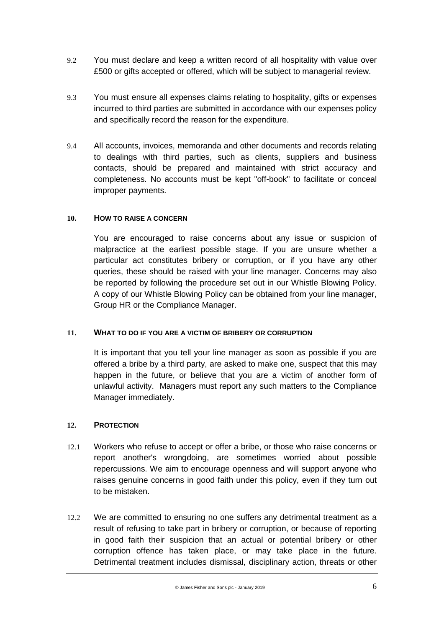- 9.2 You must declare and keep a written record of all hospitality with value over £500 or gifts accepted or offered, which will be subject to managerial review.
- 9.3 You must ensure all expenses claims relating to hospitality, gifts or expenses incurred to third parties are submitted in accordance with our expenses policy and specifically record the reason for the expenditure.
- 9.4 All accounts, invoices, memoranda and other documents and records relating to dealings with third parties, such as clients, suppliers and business contacts, should be prepared and maintained with strict accuracy and completeness. No accounts must be kept "off-book" to facilitate or conceal improper payments.

#### **10. HOW TO RAISE A CONCERN**

You are encouraged to raise concerns about any issue or suspicion of malpractice at the earliest possible stage. If you are unsure whether a particular act constitutes bribery or corruption, or if you have any other queries, these should be raised with your line manager. Concerns may also be reported by following the procedure set out in our Whistle Blowing Policy. A copy of our Whistle Blowing Policy can be obtained from your line manager, Group HR or the Compliance Manager.

#### **11. WHAT TO DO IF YOU ARE A VICTIM OF BRIBERY OR CORRUPTION**

It is important that you tell your line manager as soon as possible if you are offered a bribe by a third party, are asked to make one, suspect that this may happen in the future, or believe that you are a victim of another form of unlawful activity. Managers must report any such matters to the Compliance Manager immediately.

#### **12. PROTECTION**

- 12.1 Workers who refuse to accept or offer a bribe, or those who raise concerns or report another's wrongdoing, are sometimes worried about possible repercussions. We aim to encourage openness and will support anyone who raises genuine concerns in good faith under this policy, even if they turn out to be mistaken.
- 12.2 We are committed to ensuring no one suffers any detrimental treatment as a result of refusing to take part in bribery or corruption, or because of reporting in good faith their suspicion that an actual or potential bribery or other corruption offence has taken place, or may take place in the future. Detrimental treatment includes dismissal, disciplinary action, threats or other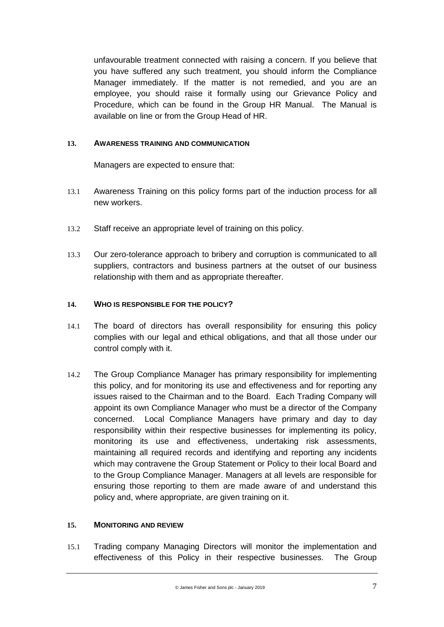unfavourable treatment connected with raising a concern. If you believe that you have suffered any such treatment, you should inform the Compliance Manager immediately. If the matter is not remedied, and you are an employee, you should raise it formally using our Grievance Policy and Procedure, which can be found in the Group HR Manual. The Manual is available on line or from the Group Head of HR.

#### **13. AWARENESS TRAINING AND COMMUNICATION**

Managers are expected to ensure that:

- 13.1 Awareness Training on this policy forms part of the induction process for all new workers.
- 13.2 Staff receive an appropriate level of training on this policy.
- 13.3 Our zero-tolerance approach to bribery and corruption is communicated to all suppliers, contractors and business partners at the outset of our business relationship with them and as appropriate thereafter.

#### **14. WHO IS RESPONSIBLE FOR THE POLICY?**

- 14.1 The board of directors has overall responsibility for ensuring this policy complies with our legal and ethical obligations, and that all those under our control comply with it.
- 14.2 The Group Compliance Manager has primary responsibility for implementing this policy, and for monitoring its use and effectiveness and for reporting any issues raised to the Chairman and to the Board. Each Trading Company will appoint its own Compliance Manager who must be a director of the Company concerned. Local Compliance Managers have primary and day to day responsibility within their respective businesses for implementing its policy, monitoring its use and effectiveness, undertaking risk assessments, maintaining all required records and identifying and reporting any incidents which may contravene the Group Statement or Policy to their local Board and to the Group Compliance Manager. Managers at all levels are responsible for ensuring those reporting to them are made aware of and understand this policy and, where appropriate, are given training on it.

#### **15. MONITORING AND REVIEW**

15.1 Trading company Managing Directors will monitor the implementation and effectiveness of this Policy in their respective businesses. The Group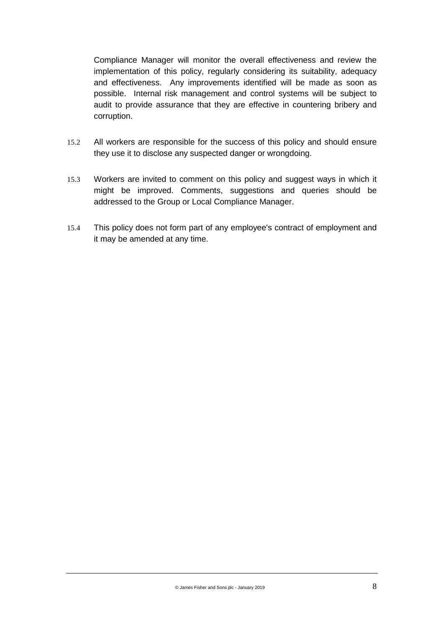Compliance Manager will monitor the overall effectiveness and review the implementation of this policy, regularly considering its suitability, adequacy and effectiveness. Any improvements identified will be made as soon as possible. Internal risk management and control systems will be subject to audit to provide assurance that they are effective in countering bribery and corruption.

- 15.2 All workers are responsible for the success of this policy and should ensure they use it to disclose any suspected danger or wrongdoing.
- 15.3 Workers are invited to comment on this policy and suggest ways in which it might be improved. Comments, suggestions and queries should be addressed to the Group or Local Compliance Manager.
- 15.4 This policy does not form part of any employee's contract of employment and it may be amended at any time.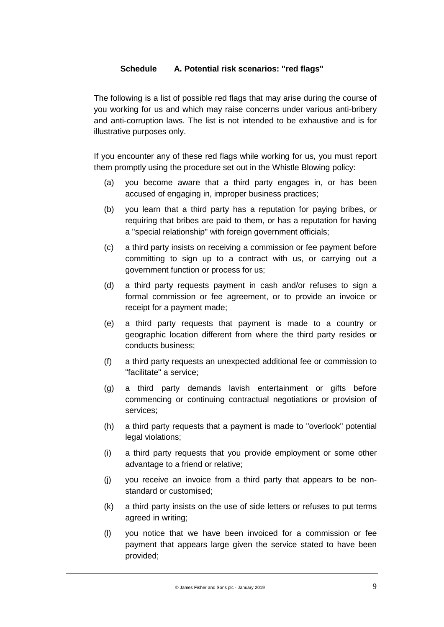# **Schedule A. Potential risk scenarios: "red flags"**

<span id="page-10-0"></span>The following is a list of possible red flags that may arise during the course of you working for us and which may raise concerns under various anti-bribery and anti-corruption laws. The list is not intended to be exhaustive and is for illustrative purposes only.

If you encounter any of these red flags while working for us, you must report them promptly using the procedure set out in the Whistle Blowing policy:

- (a) you become aware that a third party engages in, or has been accused of engaging in, improper business practices;
- (b) you learn that a third party has a reputation for paying bribes, or requiring that bribes are paid to them, or has a reputation for having a "special relationship" with foreign government officials;
- (c) a third party insists on receiving a commission or fee payment before committing to sign up to a contract with us, or carrying out a government function or process for us;
- (d) a third party requests payment in cash and/or refuses to sign a formal commission or fee agreement, or to provide an invoice or receipt for a payment made;
- (e) a third party requests that payment is made to a country or geographic location different from where the third party resides or conducts business;
- (f) a third party requests an unexpected additional fee or commission to "facilitate" a service;
- (g) a third party demands lavish entertainment or gifts before commencing or continuing contractual negotiations or provision of services;
- (h) a third party requests that a payment is made to "overlook" potential legal violations;
- (i) a third party requests that you provide employment or some other advantage to a friend or relative;
- (j) you receive an invoice from a third party that appears to be nonstandard or customised;
- (k) a third party insists on the use of side letters or refuses to put terms agreed in writing;
- (l) you notice that we have been invoiced for a commission or fee payment that appears large given the service stated to have been provided;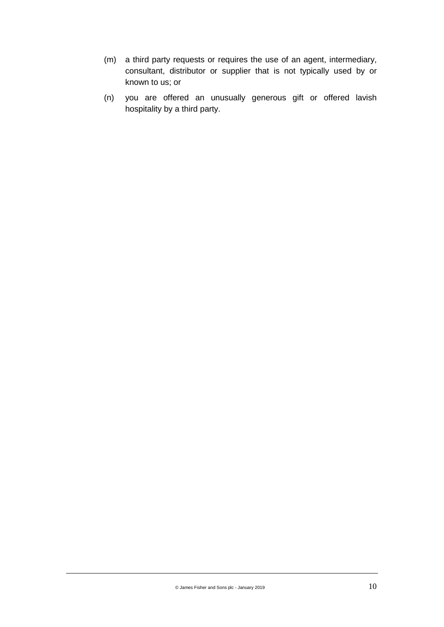- (m) a third party requests or requires the use of an agent, intermediary, consultant, distributor or supplier that is not typically used by or known to us; or
- (n) you are offered an unusually generous gift or offered lavish hospitality by a third party.